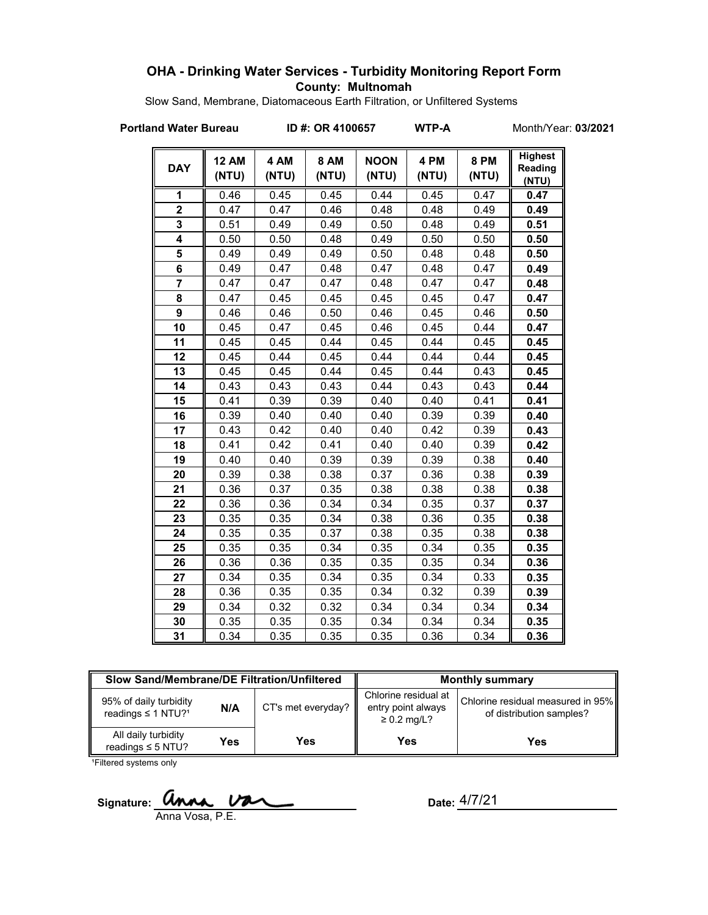## **OHA - Drinking Water Services - Turbidity Monitoring Report Form County: Multnomah**

Slow Sand, Membrane, Diatomaceous Earth Filtration, or Unfiltered Systems

**Portland Water Bureau ID #: OR 4100657 WTP-A** Month/Year: **03/2021**

| <b>DAY</b>     | <b>12 AM</b><br>(NTU) | 4 AM<br>(NTU) | <b>8 AM</b><br>(NTU) | <b>NOON</b><br>(NTU) | 4 PM<br>(NTU) | <b>8 PM</b><br>(NTU) | <b>Highest</b><br>Reading<br>(NTU) |
|----------------|-----------------------|---------------|----------------------|----------------------|---------------|----------------------|------------------------------------|
| 1              | 0.46                  | 0.45          | 0.45                 | 0.44                 | 0.45          | 0.47                 | 0.47                               |
| $\overline{2}$ | 0.47                  | 0.47          | 0.46                 | 0.48                 | 0.48          | 0.49                 | 0.49                               |
| 3              | 0.51                  | 0.49          | 0.49                 | 0.50                 | 0.48          | 0.49                 | 0.51                               |
| 4              | 0.50                  | 0.50          | 0.48                 | 0.49                 | 0.50          | 0.50                 | 0.50                               |
| 5              | 0.49                  | 0.49          | 0.49                 | 0.50                 | 0.48          | 0.48                 | 0.50                               |
| 6              | 0.49                  | 0.47          | 0.48                 | 0.47                 | 0.48          | 0.47                 | 0.49                               |
| $\overline{7}$ | 0.47                  | 0.47          | 0.47                 | 0.48                 | 0.47          | 0.47                 | 0.48                               |
| 8              | 0.47                  | 0.45          | 0.45                 | 0.45                 | 0.45          | 0.47                 | 0.47                               |
| 9              | 0.46                  | 0.46          | 0.50                 | 0.46                 | 0.45          | 0.46                 | 0.50                               |
| 10             | 0.45                  | 0.47          | 0.45                 | 0.46                 | 0.45          | 0.44                 | 0.47                               |
| 11             | 0.45                  | 0.45          | 0.44                 | 0.45                 | 0.44          | 0.45                 | 0.45                               |
| 12             | 0.45                  | 0.44          | 0.45                 | 0.44                 | 0.44          | 0.44                 | 0.45                               |
| 13             | 0.45                  | 0.45          | 0.44                 | 0.45                 | 0.44          | 0.43                 | 0.45                               |
| 14             | 0.43                  | 0.43          | 0.43                 | 0.44                 | 0.43          | 0.43                 | 0.44                               |
| 15             | 0.41                  | 0.39          | 0.39                 | 0.40                 | 0.40          | 0.41                 | 0.41                               |
| 16             | 0.39                  | 0.40          | 0.40                 | 0.40                 | 0.39          | 0.39                 | 0.40                               |
| 17             | 0.43                  | 0.42          | 0.40                 | 0.40                 | 0.42          | 0.39                 | 0.43                               |
| 18             | 0.41                  | 0.42          | 0.41                 | 0.40                 | 0.40          | 0.39                 | 0.42                               |
| 19             | 0.40                  | 0.40          | 0.39                 | 0.39                 | 0.39          | 0.38                 | 0.40                               |
| 20             | 0.39                  | 0.38          | 0.38                 | 0.37                 | 0.36          | 0.38                 | 0.39                               |
| 21             | 0.36                  | 0.37          | 0.35                 | 0.38                 | 0.38          | 0.38                 | 0.38                               |
| 22             | 0.36                  | 0.36          | 0.34                 | 0.34                 | 0.35          | 0.37                 | 0.37                               |
| 23             | 0.35                  | 0.35          | 0.34                 | 0.38                 | 0.36          | 0.35                 | 0.38                               |
| 24             | 0.35                  | 0.35          | 0.37                 | 0.38                 | 0.35          | 0.38                 | 0.38                               |
| 25             | 0.35                  | 0.35          | 0.34                 | 0.35                 | 0.34          | 0.35                 | 0.35                               |
| 26             | 0.36                  | 0.36          | 0.35                 | 0.35                 | 0.35          | 0.34                 | 0.36                               |
| 27             | 0.34                  | 0.35          | 0.34                 | 0.35                 | 0.34          | 0.33                 | 0.35                               |
| 28             | 0.36                  | 0.35          | 0.35                 | 0.34                 | 0.32          | 0.39                 | 0.39                               |
| 29             | 0.34                  | 0.32          | 0.32                 | 0.34                 | 0.34          | 0.34                 | 0.34                               |
| 30             | 0.35                  | 0.35          | 0.35                 | 0.34                 | 0.34          | 0.34                 | 0.35                               |
| 31             | 0.34                  | 0.35          | 0.35                 | 0.35                 | 0.36          | 0.34                 | 0.36                               |

| Slow Sand/Membrane/DE Filtration/Unfiltered                          |     |                    | <b>Monthly summary</b>                                         |                                                               |  |
|----------------------------------------------------------------------|-----|--------------------|----------------------------------------------------------------|---------------------------------------------------------------|--|
| 95% of daily turbidity<br>N/A<br>readings $\leq$ 1 NTU? <sup>1</sup> |     | CT's met everyday? | Chlorine residual at<br>entry point always<br>$\geq$ 0.2 mg/L? | Chlorine residual measured in 95%<br>of distribution samples? |  |
| All daily turbidity<br>readings $\leq$ 5 NTU?                        | Yes | Yes                | Yes                                                            | Yes                                                           |  |

<sup>1</sup>Filtered systems only

Signature: **UNNA.** UNCLE **Date:** 

Anna Vosa, P.E.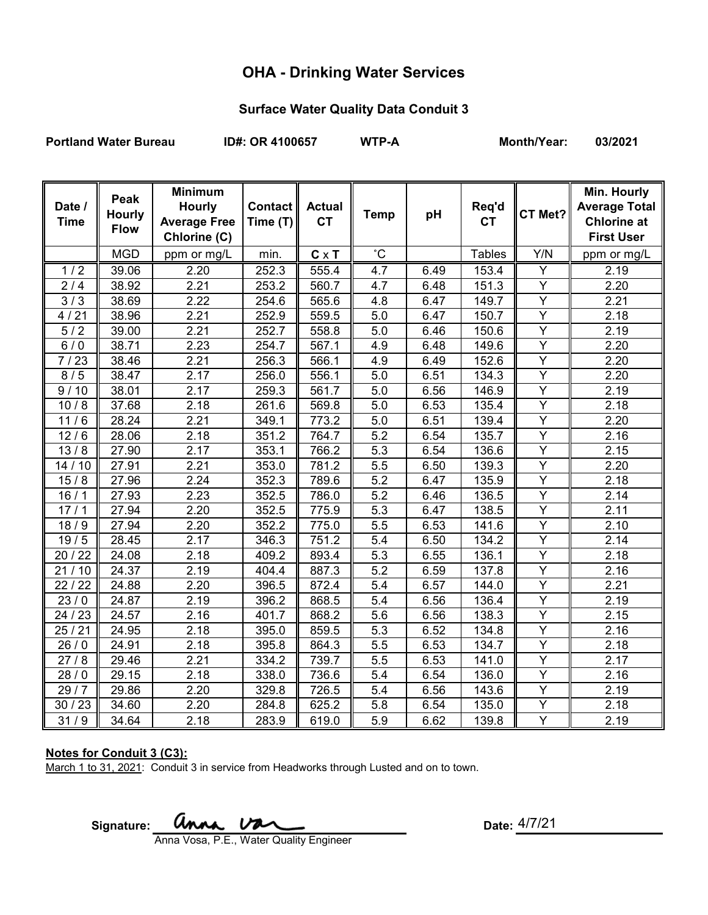# **OHA - Drinking Water Services**

## **Surface Water Quality Data Conduit 3**

Portland Water Bureau **ID#: OR 4100657** WTP-A Month/Year: 03/2021

| Date /<br><b>Time</b> | Peak<br><b>Hourly</b><br><b>Flow</b> | <b>Minimum</b><br><b>Hourly</b><br><b>Average Free</b><br>Chlorine (C) | <b>Contact</b><br>Time (T) | <b>Actual</b><br><b>CT</b> | <b>Temp</b>      | pH   | Req'd<br><b>CT</b> | CT Met?        | Min. Hourly<br><b>Average Total</b><br><b>Chlorine at</b><br><b>First User</b> |
|-----------------------|--------------------------------------|------------------------------------------------------------------------|----------------------------|----------------------------|------------------|------|--------------------|----------------|--------------------------------------------------------------------------------|
|                       | <b>MGD</b>                           | ppm or mg/L                                                            | min.                       | $C \times T$               | $\rm ^{\circ}C$  |      | <b>Tables</b>      | Y/N            | ppm or mg/L                                                                    |
| 1/2                   | 39.06                                | 2.20                                                                   | 252.3                      | 555.4                      | 4.7              | 6.49 | 153.4              | Y              | 2.19                                                                           |
| 2/4                   | 38.92                                | 2.21                                                                   | 253.2                      | 560.7                      | 4.7              | 6.48 | 151.3              | $\overline{Y}$ | 2.20                                                                           |
| $\overline{3}/3$      | 38.69                                | 2.22                                                                   | 254.6                      | 565.6                      | 4.8              | 6.47 | 149.7              | Y              | 2.21                                                                           |
| 4/21                  | 38.96                                | 2.21                                                                   | 252.9                      | 559.5                      | 5.0              | 6.47 | 150.7              | Y              | 2.18                                                                           |
| 5/2                   | 39.00                                | 2.21                                                                   | 252.7                      | 558.8                      | 5.0              | 6.46 | 150.6              | $\overline{Y}$ | 2.19                                                                           |
| 6/0                   | 38.71                                | 2.23                                                                   | 254.7                      | 567.1                      | 4.9              | 6.48 | 149.6              | $\overline{Y}$ | 2.20                                                                           |
| 7/23                  | 38.46                                | 2.21                                                                   | 256.3                      | 566.1                      | 4.9              | 6.49 | 152.6              | $\overline{Y}$ | 2.20                                                                           |
| 8/5                   | 38.47                                | 2.17                                                                   | 256.0                      | 556.1                      | 5.0              | 6.51 | 134.3              | Υ              | 2.20                                                                           |
| 9/10                  | 38.01                                | 2.17                                                                   | 259.3                      | 561.7                      | 5.0              | 6.56 | 146.9              | Y              | 2.19                                                                           |
| 10/8                  | 37.68                                | 2.18                                                                   | 261.6                      | 569.8                      | 5.0              | 6.53 | 135.4              | Y              | 2.18                                                                           |
| 11/6                  | 28.24                                | 2.21                                                                   | 349.1                      | 773.2                      | 5.0              | 6.51 | 139.4              | Ÿ              | 2.20                                                                           |
| $\frac{1}{12}$ / 6    | 28.06                                | 2.18                                                                   | 351.2                      | 764.7                      | 5.2              | 6.54 | 135.7              | $\overline{Y}$ | 2.16                                                                           |
| 13/8                  | 27.90                                | 2.17                                                                   | 353.1                      | 766.2                      | 5.3              | 6.54 | 136.6              | $\overline{Y}$ | 2.15                                                                           |
| 14/10                 | 27.91                                | 2.21                                                                   | 353.0                      | 781.2                      | $\overline{5.5}$ | 6.50 | 139.3              | $\overline{Y}$ | 2.20                                                                           |
| 15/8                  | 27.96                                | 2.24                                                                   | 352.3                      | 789.6                      | $\overline{5.2}$ | 6.47 | 135.9              | $\overline{Y}$ | 2.18                                                                           |
| 16/1                  | 27.93                                | 2.23                                                                   | 352.5                      | 786.0                      | 5.2              | 6.46 | 136.5              | Υ              | 2.14                                                                           |
| 17/1                  | 27.94                                | 2.20                                                                   | 352.5                      | 775.9                      | $\overline{5.3}$ | 6.47 | 138.5              | Ÿ              | 2.11                                                                           |
| 18/9                  | 27.94                                | 2.20                                                                   | 352.2                      | 775.0                      | 5.5              | 6.53 | 141.6              | Y              | 2.10                                                                           |
| 19/5                  | 28.45                                | 2.17                                                                   | 346.3                      | 751.2                      | 5.4              | 6.50 | 134.2              | $\overline{Y}$ | 2.14                                                                           |
| 20 / 22               | 24.08                                | 2.18                                                                   | 409.2                      | 893.4                      | 5.3              | 6.55 | 136.1              | Υ              | 2.18                                                                           |
| 21/10                 | 24.37                                | 2.19                                                                   | 404.4                      | 887.3                      | $\overline{5.2}$ | 6.59 | 137.8              | $\overline{Y}$ | 2.16                                                                           |
| 22/22                 | 24.88                                | 2.20                                                                   | 396.5                      | 872.4                      | 5.4              | 6.57 | 144.0              | Υ              | 2.21                                                                           |
| 23/0                  | 24.87                                | 2.19                                                                   | 396.2                      | 868.5                      | 5.4              | 6.56 | 136.4              | Y              | 2.19                                                                           |
| 24 / 23               | 24.57                                | 2.16                                                                   | 401.7                      | 868.2                      | 5.6              | 6.56 | 138.3              | Y              | 2.15                                                                           |
| 25/21                 | 24.95                                | 2.18                                                                   | 395.0                      | 859.5                      | 5.3              | 6.52 | 134.8              | Y              | 2.16                                                                           |
| 26/0                  | 24.91                                | 2.18                                                                   | 395.8                      | 864.3                      | 5.5              | 6.53 | 134.7              | Y              | 2.18                                                                           |
| 27/8                  | 29.46                                | 2.21                                                                   | 334.2                      | 739.7                      | 5.5              | 6.53 | 141.0              | Ÿ              | 2.17                                                                           |
| 28/0                  | $\overline{29.15}$                   | 2.18                                                                   | 338.0                      | 736.6                      | 5.4              | 6.54 | 136.0              | $\overline{Y}$ | 2.16                                                                           |
| 29/7                  | 29.86                                | 2.20                                                                   | 329.8                      | 726.5                      | 5.4              | 6.56 | 143.6              | Y              | 2.19                                                                           |
| 30/23                 | 34.60                                | 2.20                                                                   | 284.8                      | 625.2                      | 5.8              | 6.54 | 135.0              | Y              | 2.18                                                                           |
| 31/9                  | 34.64                                | 2.18                                                                   | 283.9                      | 619.0                      | 5.9              | 6.62 | 139.8              | Y              | 2.19                                                                           |

## **Notes for Conduit 3 (C3):**

March 1 to 31, 2021: Conduit 3 in service from Headworks through Lusted and on to town.

Signature: **UNAA, UAA** Date:

Anna Vosa, P.E., Water Quality Engineer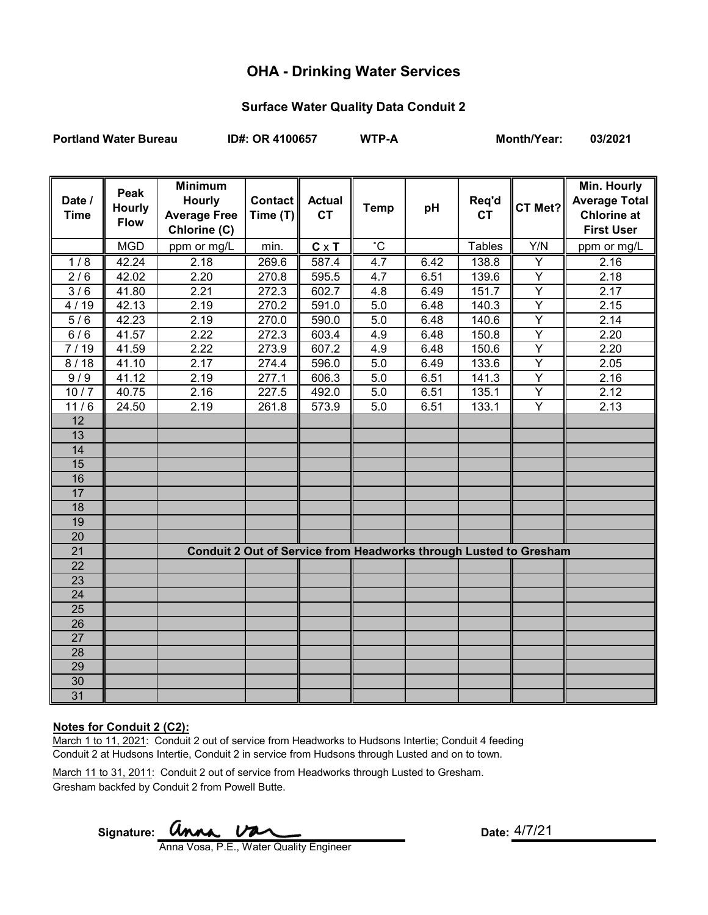# **OHA - Drinking Water Services**

## **Surface Water Quality Data Conduit 2**

**Portland Water Bureau ID#: OR 4100657 WTP-A Month/Year: 03/2021**

| Date /<br><b>Time</b> | Peak<br><b>Hourly</b><br><b>Flow</b> | <b>Minimum</b><br><b>Hourly</b><br><b>Average Free</b><br>Chlorine (C) | Contact   <br>Time $(T)$ | <b>Actual</b><br><b>CT</b> | <b>Temp</b>  | pH   | Req'd<br><b>CT</b> | CT Met?        | <b>Min. Hourly</b><br><b>Average Total</b><br><b>Chlorine at</b><br><b>First User</b> |
|-----------------------|--------------------------------------|------------------------------------------------------------------------|--------------------------|----------------------------|--------------|------|--------------------|----------------|---------------------------------------------------------------------------------------|
|                       | <b>MGD</b>                           | ppm or mg/L                                                            | min.                     | $C \times T$               | $^{\circ}$ C |      | <b>Tables</b>      | Y/N            | ppm or mg/L                                                                           |
| 1/8                   | 42.24                                | 2.18                                                                   | 269.6                    | 587.4                      | 4.7          | 6.42 | 138.8              | Υ              | 2.16                                                                                  |
| 2/6                   | 42.02                                | 2.20                                                                   | 270.8                    | 595.5                      | 4.7          | 6.51 | 139.6              | Υ              | 2.18                                                                                  |
| 3/6                   | 41.80                                | 2.21                                                                   | 272.3                    | 602.7                      | 4.8          | 6.49 | 151.7              | Υ              | 2.17                                                                                  |
| 4/19                  | 42.13                                | 2.19                                                                   | 270.2                    | 591.0                      | 5.0          | 6.48 | 140.3              | Ÿ              | 2.15                                                                                  |
| $\overline{5/6}$      | 42.23                                | 2.19                                                                   | 270.0                    | 590.0                      | 5.0          | 6.48 | 140.6              | Y              | 2.14                                                                                  |
| 6/6                   | 41.57                                | 2.22                                                                   | 272.3                    | 603.4                      | 4.9          | 6.48 | 150.8              | Ÿ              | 2.20                                                                                  |
| 7/19                  | 41.59                                | 2.22                                                                   | 273.9                    | 607.2                      | 4.9          | 6.48 | 150.6              | Υ              | 2.20                                                                                  |
| 8/18                  | 41.10                                | 2.17                                                                   | 274.4                    | 596.0                      | 5.0          | 6.49 | 133.6              | Y              | 2.05                                                                                  |
| 9/9                   | 41.12                                | 2.19                                                                   | 277.1                    | 606.3                      | 5.0          | 6.51 | 141.3              | Ÿ              | 2.16                                                                                  |
| 10/7                  | 40.75                                | 2.16                                                                   | 227.5                    | 492.0                      | 5.0          | 6.51 | 135.1              | Y              | 2.12                                                                                  |
| 11/6                  | 24.50                                | 2.19                                                                   | 261.8                    | 573.9                      | 5.0          | 6.51 | 133.1              | $\overline{Y}$ | 2.13                                                                                  |
| $\overline{12}$       |                                      |                                                                        |                          |                            |              |      |                    |                |                                                                                       |
| 13                    |                                      |                                                                        |                          |                            |              |      |                    |                |                                                                                       |
| 14                    |                                      |                                                                        |                          |                            |              |      |                    |                |                                                                                       |
| 15                    |                                      |                                                                        |                          |                            |              |      |                    |                |                                                                                       |
| 16                    |                                      |                                                                        |                          |                            |              |      |                    |                |                                                                                       |
| 17                    |                                      |                                                                        |                          |                            |              |      |                    |                |                                                                                       |
| $\overline{18}$       |                                      |                                                                        |                          |                            |              |      |                    |                |                                                                                       |
| 19                    |                                      |                                                                        |                          |                            |              |      |                    |                |                                                                                       |
| 20                    |                                      |                                                                        |                          |                            |              |      |                    |                |                                                                                       |
| 21                    |                                      | Conduit 2 Out of Service from Headworks through Lusted to Gresham      |                          |                            |              |      |                    |                |                                                                                       |
| 22                    |                                      |                                                                        |                          |                            |              |      |                    |                |                                                                                       |
| 23                    |                                      |                                                                        |                          |                            |              |      |                    |                |                                                                                       |
| 24                    |                                      |                                                                        |                          |                            |              |      |                    |                |                                                                                       |
| 25                    |                                      |                                                                        |                          |                            |              |      |                    |                |                                                                                       |
| 26                    |                                      |                                                                        |                          |                            |              |      |                    |                |                                                                                       |
| $\overline{27}$       |                                      |                                                                        |                          |                            |              |      |                    |                |                                                                                       |
| 28                    |                                      |                                                                        |                          |                            |              |      |                    |                |                                                                                       |
| 29                    |                                      |                                                                        |                          |                            |              |      |                    |                |                                                                                       |
| 30                    |                                      |                                                                        |                          |                            |              |      |                    |                |                                                                                       |
| 31                    |                                      |                                                                        |                          |                            |              |      |                    |                |                                                                                       |

#### **Notes for Conduit 2 (C2):**

March 1 to 11, 2021: Conduit 2 out of service from Headworks to Hudsons Intertie; Conduit 4 feeding Conduit 2 at Hudsons Intertie, Conduit 2 in service from Hudsons through Lusted and on to town.

March 11 to 31, 2011: Conduit 2 out of service from Headworks through Lusted to Gresham. Gresham backfed by Conduit 2 from Powell Butte.

Signature: **UNNA, VAL** COME CONTROLLER: Date:

Anna Vosa, P.E., Water Quality Engineer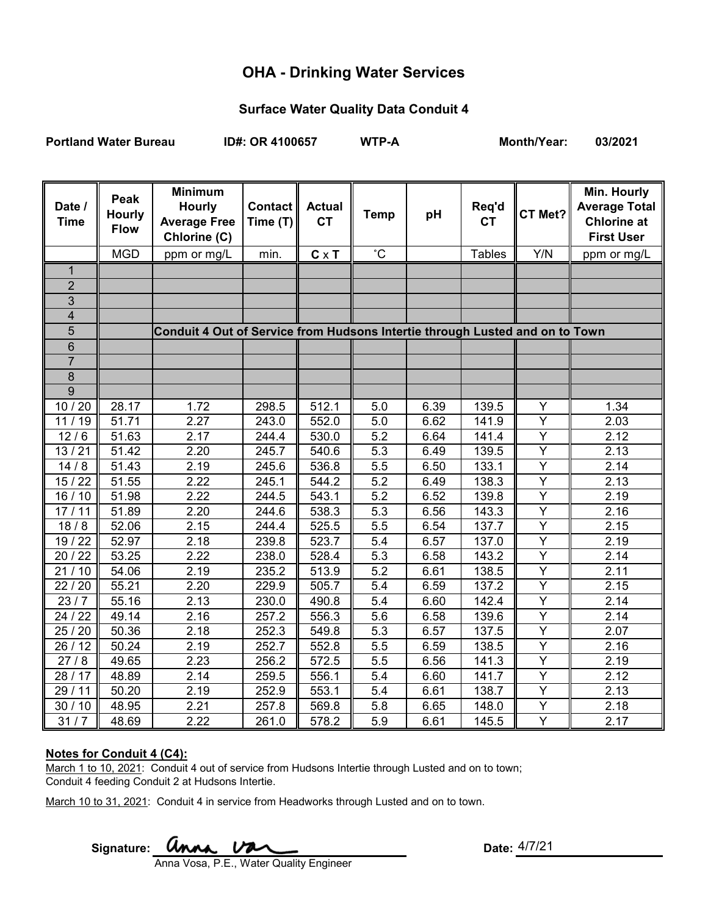# **OHA - Drinking Water Services**

## **Surface Water Quality Data Conduit 4**

Portland Water Bureau **ID#: OR 4100657** WTP-A Month/Year: 03/2021

| Date /<br><b>Time</b>   | Peak<br><b>Hourly</b><br><b>Flow</b> | <b>Minimum</b><br><b>Hourly</b><br><b>Average Free</b><br>Chlorine (C)       | <b>Contact</b><br>Time (T) | <b>Actual</b><br><b>CT</b> | <b>Temp</b>      | pH   | Req'd<br><b>CT</b> | CT Met?        | Min. Hourly<br><b>Average Total</b><br><b>Chlorine at</b><br><b>First User</b> |
|-------------------------|--------------------------------------|------------------------------------------------------------------------------|----------------------------|----------------------------|------------------|------|--------------------|----------------|--------------------------------------------------------------------------------|
|                         | <b>MGD</b>                           | ppm or mg/L                                                                  | min.                       | $C \times T$               | $^{\circ}$ C     |      | <b>Tables</b>      | Y/N            | ppm or mg/L                                                                    |
| $\mathbf{1}$            |                                      |                                                                              |                            |                            |                  |      |                    |                |                                                                                |
| $\overline{2}$          |                                      |                                                                              |                            |                            |                  |      |                    |                |                                                                                |
| 3                       |                                      |                                                                              |                            |                            |                  |      |                    |                |                                                                                |
| $\overline{\mathbf{4}}$ |                                      |                                                                              |                            |                            |                  |      |                    |                |                                                                                |
| 5                       |                                      | Conduit 4 Out of Service from Hudsons Intertie through Lusted and on to Town |                            |                            |                  |      |                    |                |                                                                                |
| 6                       |                                      |                                                                              |                            |                            |                  |      |                    |                |                                                                                |
| $\overline{7}$          |                                      |                                                                              |                            |                            |                  |      |                    |                |                                                                                |
| 8                       |                                      |                                                                              |                            |                            |                  |      |                    |                |                                                                                |
| $\overline{9}$          |                                      |                                                                              |                            |                            |                  |      |                    |                |                                                                                |
| 10/20                   | 28.17                                | 1.72                                                                         | 298.5                      | 512.1                      | 5.0              | 6.39 | 139.5              | Y              | 1.34                                                                           |
| 11/19                   | 51.71                                | 2.27                                                                         | 243.0                      | 552.0                      | 5.0              | 6.62 | 141.9              | Ÿ              | 2.03                                                                           |
| 12/6                    | 51.63                                | 2.17                                                                         | 244.4                      | 530.0                      | $\overline{5.2}$ | 6.64 | 141.4              | Ÿ              | 2.12                                                                           |
| 13/21                   | 51.42                                | 2.20                                                                         | 245.7                      | 540.6                      | 5.3              | 6.49 | 139.5              | Y              | 2.13                                                                           |
| 14/8                    | 51.43                                | 2.19                                                                         | 245.6                      | 536.8                      | 5.5              | 6.50 | 133.1              | $\overline{Y}$ | 2.14                                                                           |
| 15/22                   | 51.55                                | 2.22                                                                         | 245.1                      | 544.2                      | 5.2              | 6.49 | 138.3              | $\overline{Y}$ | 2.13                                                                           |
| 16/10                   | 51.98                                | 2.22                                                                         | 244.5                      | 543.1                      | $\overline{5.2}$ | 6.52 | 139.8              | $\overline{Y}$ | 2.19                                                                           |
| 17/11                   | 51.89                                | 2.20                                                                         | 244.6                      | 538.3                      | $\overline{5.3}$ | 6.56 | 143.3              | $\overline{Y}$ | 2.16                                                                           |
| 18/8                    | 52.06                                | 2.15                                                                         | 244.4                      | 525.5                      | 5.5              | 6.54 | 137.7              | $\overline{Y}$ | 2.15                                                                           |
| 19/22                   | 52.97                                | 2.18                                                                         | 239.8                      | 523.7                      | 5.4              | 6.57 | 137.0              | Ÿ              | 2.19                                                                           |
| 20 / 22                 | 53.25                                | 2.22                                                                         | 238.0                      | 528.4                      | 5.3              | 6.58 | 143.2              | $\overline{Y}$ | 2.14                                                                           |
| 21/10                   | 54.06                                | 2.19                                                                         | 235.2                      | 513.9                      | 5.2              | 6.61 | 138.5              | $\overline{Y}$ | 2.11                                                                           |
| 22/20                   | 55.21                                | 2.20                                                                         | 229.9                      | 505.7                      | 5.4              | 6.59 | 137.2              | $\overline{Y}$ | 2.15                                                                           |
| 23/7                    | 55.16                                | 2.13                                                                         | 230.0                      | 490.8                      | 5.4              | 6.60 | 142.4              | $\overline{Y}$ | 2.14                                                                           |
| 24/22                   | 49.14                                | 2.16                                                                         | 257.2                      | 556.3                      | 5.6              | 6.58 | 139.6              | Y              | 2.14                                                                           |
| 25/20                   | 50.36                                | 2.18                                                                         | 252.3                      | 549.8                      | 5.3              | 6.57 | 137.5              | Υ              | 2.07                                                                           |
| 26/12                   | 50.24                                | 2.19                                                                         | 252.7                      | 552.8                      | $\overline{5.5}$ | 6.59 | 138.5              | Ÿ              | 2.16                                                                           |
| 27/8                    | 49.65                                | 2.23                                                                         | 256.2                      | 572.5                      | 5.5              | 6.56 | 141.3              | Ÿ              | 2.19                                                                           |
| 28/17                   | 48.89                                | 2.14                                                                         | 259.5                      | 556.1                      | 5.4              | 6.60 | 141.7              | Y              | 2.12                                                                           |
| 29/11                   | 50.20                                | 2.19                                                                         | 252.9                      | 553.1                      | 5.4              | 6.61 | 138.7              | Y              | 2.13                                                                           |
| 30/10                   | 48.95                                | 2.21                                                                         | 257.8                      | 569.8                      | 5.8              | 6.65 | 148.0              | Y              | 2.18                                                                           |
| 31/7                    | 48.69                                | 2.22                                                                         | 261.0                      | 578.2                      | 5.9              | 6.61 | 145.5              | Ÿ              | 2.17                                                                           |

#### **Notes for Conduit 4 (C4):**

March 1 to 10, 2021: Conduit 4 out of service from Hudsons Intertie through Lusted and on to town; Conduit 4 feeding Conduit 2 at Hudsons Intertie.

March 10 to 31, 2021: Conduit 4 in service from Headworks through Lusted and on to town.

Signature: **UNAA VAA** Anna Vosa, P.E., Water Quality Engineer